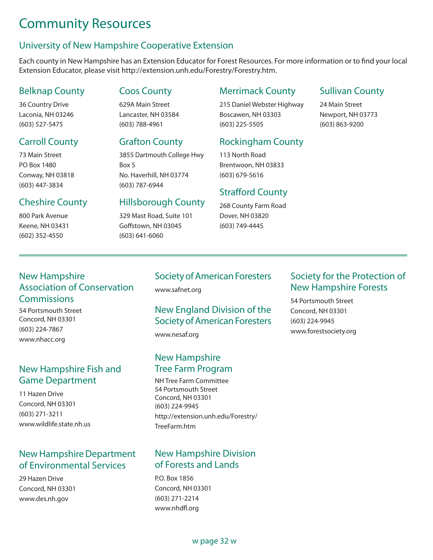# Community Resources

# University of New Hampshire Cooperative Extension

Each county in New Hampshire has an Extension Educator for Forest Resources. For more information or to find your local Extension Educator, please visit http://extension.unh.edu/Forestry/Forestry.htm.

# Belknap County

36 Country Drive Laconia, NH 03246 (603) 527-5475

# Carroll County

73 Main Street PO Box 1480 Conway, NH 03818 (603) 447-3834

# Cheshire County

800 Park Avenue Keene, NH 03431 (602) 352-4550

#### Coos County

629A Main Street Lancaster, NH 03584 (603) 788-4961

#### Grafton County

3855 Dartmouth College Hwy Box 5 No. Haverhill, NH 03774 (603) 787-6944

#### Hillsborough County

329 Mast Road, Suite 101 Goffstown, NH 03045 (603) 641-6060

#### Merrimack County

215 Daniel Webster Highway Boscawen, NH 03303 (603) 225-5505

# Rockingham County

113 North Road Brentwoon, NH 03833 (603) 679-5616

#### Strafford County

268 County Farm Road Dover, NH 03820 (603) 749-4445

#### Sullivan County

24 Main Street Newport, NH 03773 (603) 863-9200

# New Hampshire Association of Conservation **Commissions**

54 Portsmouth Street Concord, NH 03301 (603) 224-7867 www.nhacc.org

# New Hampshire Fish and Game Department

11 Hazen Drive Concord, NH 03301 (603) 271-3211 www.wildlife.state.nh.us

#### New Hampshire Department of Environmental Services

29 Hazen Drive Concord, NH 03301 www.des.nh.gov

# Society of American Foresters

www.safnet.org

#### New England Division of the Society of American Foresters

www.nesaf.org

#### New Hampshire Tree Farm Program

NH Tree Farm Committee 54 Portsmouth Street Concord, NH 03301 (603) 224-9945 http://extension.unh.edu/Forestry/ TreeFarm.htm

#### New Hampshire Division of Forests and Lands

P.O. Box 1856 Concord, NH 03301 (603) 271-2214 www.nhdfl.org

#### Society for the Protection of New Hampshire Forests

54 Portsmouth Street Concord, NH 03301 (603) 224-9945 www.forestsociety.org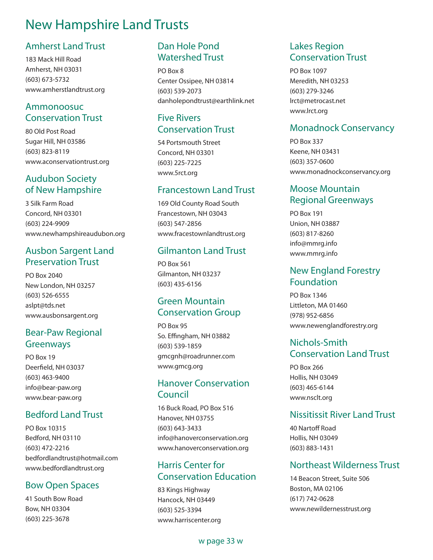# New Hampshire Land Trusts

#### Amherst Land Trust

183 Mack Hill Road Amherst, NH 03031 (603) 673-5732 www.amherstlandtrust.org

### Ammonoosuc Conservation Trust

80 Old Post Road Sugar Hill, NH 03586 (603) 823-8119 www.aconservationtrust.org

#### Audubon Society of New Hampshire

3 Silk Farm Road Concord, NH 03301 (603) 224-9909 www.newhampshireaudubon.org

#### Ausbon Sargent Land Preservation Trust

PO Box 2040 New London, NH 03257 (603) 526-6555 aslpt@tds.net www.ausbonsargent.org

#### Bear-Paw Regional Greenways

PO Box 19 Deerfield, NH 03037 (603) 463-9400 info@bear-paw.org www.bear-paw.org

#### Bedford Land Trust

PO Box 10315 Bedford, NH 03110 (603) 472-2216 bedfordlandtrust@hotmail.com www.bedfordlandtrust.org

#### Bow Open Spaces

41 South Bow Road Bow, NH 03304 (603) 225-3678

# Dan Hole Pond Watershed Trust

PO Box 8 Center Ossipee, NH 03814 (603) 539-2073 danholepondtrust@earthlink.net

#### Five Rivers Conservation Trust

54 Portsmouth Street Concord, NH 03301 (603) 225-7225 www.5rct.org

#### Francestown Land Trust

169 Old County Road South Francestown, NH 03043 (603) 547-2856 www.fracestownlandtrust.org

#### Gilmanton Land Trust

PO Box 561 Gilmanton, NH 03237 (603) 435-6156

# Green Mountain Conservation Group

PO Box 95 So. Effingham, NH 03882 (603) 539-1859 gmcgnh@roadrunner.com www.gmcg.org

#### Hanover Conservation Council

16 Buck Road, PO Box 516 Hanover, NH 03755 (603) 643-3433 info@hanoverconservation.org www.hanoverconservation.org

#### Harris Center for Conservation Education

83 Kings Highway Hancock, NH 03449 (603) 525-3394 www.harriscenter.org

#### Lakes Region Conservation Trust

PO Box 1097 Meredith, NH 03253 (603) 279-3246 lrct@metrocast.net www.lrct.org

### Monadnock Conservancy

PO Box 337 Keene, NH 03431 (603) 357-0600 www.monadnockconservancy.org

#### Moose Mountain Regional Greenways

PO Box 191 Union, NH 03887 (603) 817-8260 info@mmrg.info www.mmrg.info

#### New England Forestry Foundation

PO Box 1346 Littleton, MA 01460 (978) 952-6856 www.newenglandforestry.org

#### Nichols-Smith Conservation Land Trust

PO Box 266 Hollis, NH 03049 (603) 465-6144 www.nsclt.org

#### Nissitissit River Land Trust

40 Nartoff Road Hollis, NH 03049 (603) 883-1431

#### Northeast Wilderness Trust

14 Beacon Street, Suite 506 Boston, MA 02106 (617) 742-0628 www.newildernesstrust.org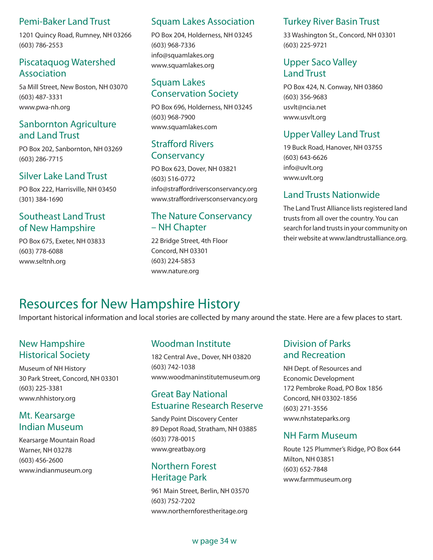#### Pemi-Baker Land Trust

1201 Quincy Road, Rumney, NH 03266 (603) 786-2553

## Piscataquog Watershed Association

5a Mill Street, New Boston, NH 03070 (603) 487-3331 www.pwa-nh.org

# Sanbornton Agriculture and Land Trust

PO Box 202, Sanbornton, NH 03269 (603) 286-7715

#### Silver Lake Land Trust

PO Box 222, Harrisville, NH 03450 (301) 384-1690

#### Southeast Land Trust of New Hampshire

PO Box 675, Exeter, NH 03833 (603) 778-6088 www.seltnh.org

#### Squam Lakes Association

PO Box 204, Holderness, NH 03245 (603) 968-7336 info@squamlakes.org www.squamlakes.org

# Squam Lakes Conservation Society

PO Box 696, Holderness, NH 03245 (603) 968-7900 www.squamlakes.com

#### Strafford Rivers **Conservancy**

PO Box 623, Dover, NH 03821 (603) 516-0772 info@straffordriversconservancy.org www.straffordriversconservancy.org

#### The Nature Conservancy – NH Chapter

22 Bridge Street, 4th Floor Concord, NH 03301 (603) 224-5853 www.nature.org

#### Turkey River Basin Trust

33 Washington St., Concord, NH 03301 (603) 225-9721

#### Upper Saco Valley Land Trust

PO Box 424, N. Conway, NH 03860 (603) 356-9683 usvlt@ncia.net www.usvlt.org

# Upper Valley Land Trust

19 Buck Road, Hanover, NH 03755 (603) 643-6626 info@uvlt.org www.uvlt.org

#### Land Trusts Nationwide

The Land Trust Alliance lists registered land trusts from all over the country. You can search for land trusts in your community on their website at www.landtrustalliance.org.

# Resources for New Hampshire History

Important historical information and local stories are collected by many around the state. Here are a few places to start.

# New Hampshire Historical Society

Museum of NH History 30 Park Street, Concord, NH 03301 (603) 225-3381 www.nhhistory.org

#### Mt. Kearsarge Indian Museum

Kearsarge Mountain Road Warner, NH 03278 (603) 456-2600 www.indianmuseum.org

# Woodman Institute

182 Central Ave., Dover, NH 03820 (603) 742-1038 www.woodmaninstitutemuseum.org

#### Great Bay National Estuarine Research Reserve

Sandy Point Discovery Center 89 Depot Road, Stratham, NH 03885 (603) 778-0015 www.greatbay.org

#### Northern Forest Heritage Park

961 Main Street, Berlin, NH 03570 (603) 752-7202 www.northernforestheritage.org

# Division of Parks and Recreation

NH Dept. of Resources and Economic Development 172 Pembroke Road, PO Box 1856 Concord, NH 03302-1856 (603) 271-3556 www.nhstateparks.org

#### NH Farm Museum

Route 125 Plummer's Ridge, PO Box 644 Milton, NH 03851 (603) 652-7848 www.farmmuseum.org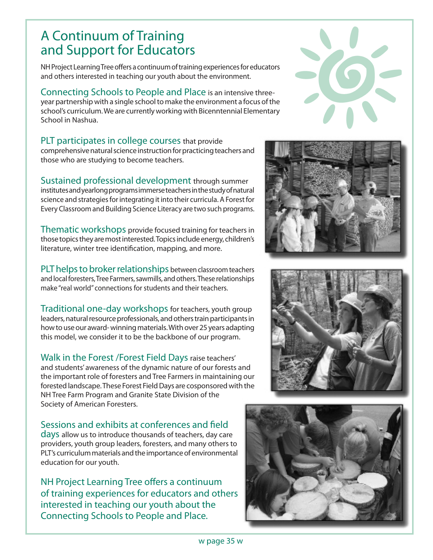# A Continuum of Training and Support for Educators

NH Project Learning Tree offers a continuum of training experiences for educators and others interested in teaching our youth about the environment.

Connecting Schools to People and Place is an intensive threeyear partnership with a single school to make the environment a focus of the school's curriculum. We are currently working with Bicenntennial Elementary School in Nashua.

PLT participates in college courses that provide comprehensive natural science instruction for practicing teachers and those who are studying to become teachers.

Sustained professional development through summer institutes and yearlong programs immerse teachers in the study of natural science and strategies for integrating it into their curricula. A Forest for Every Classroom and Building Science Literacy are two such programs.

Thematic workshops provide focused training for teachers in those topics they are most interested. Topics include energy, children's literature, winter tree identification, mapping, and more.

PLT helps to broker relationships between classroom teachers and local foresters, Tree Farmers, sawmills, and others. These relationships make "real world" connections for students and their teachers.

Traditional one-day workshops for teachers, youth group leaders, natural resource professionals, and others train participants in how to use our award- winning materials. With over 25 years adapting this model, we consider it to be the backbone of our program.

Walk in the Forest /Forest Field Days raise teachers' and students' awareness of the dynamic nature of our forests and the important role of foresters and Tree Farmers in maintaining our forested landscape. These Forest Field Days are cosponsored with the NH Tree Farm Program and Granite State Division of the Society of American Foresters.

Sessions and exhibits at conferences and field days allow us to introduce thousands of teachers, day care providers, youth group leaders, foresters, and many others to PLT's curriculum materials and the importance of environmental education for our youth.

NH Project Learning Tree offers a continuum of training experiences for educators and others interested in teaching our youth about the Connecting Schools to People and Place.